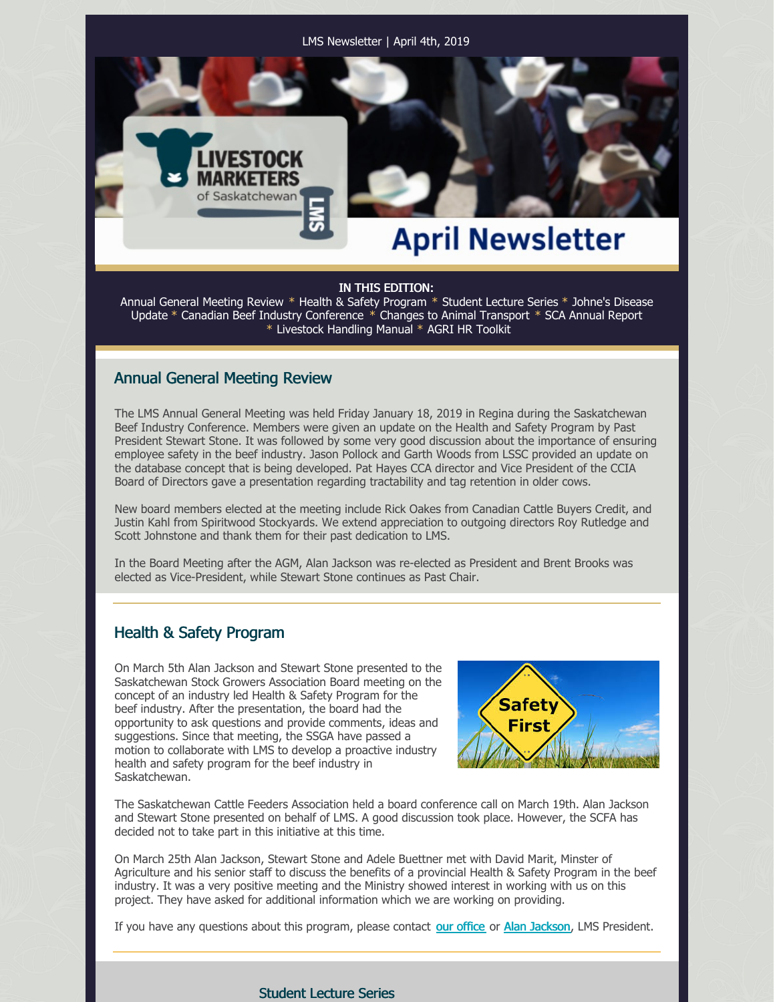LMS Newsletter | April 4th, 2019

# **April Newsletter**

#### IN THIS EDITION:

Annual General Meeting Review \* Health & Safety Program \* Student Lecture Series \* Johne's Disease Update \* Canadian Beef Industry Conference \* Changes to Animal Transport \* SCA Annual Report \* Livestock Handling Manual \* AGRI HR Toolkit

### Annual General Meeting Review

VESTOCK

The LMS Annual General Meeting was held Friday January 18, 2019 in Regina during the Saskatchewan Beef Industry Conference. Members were given an update on the Health and Safety Program by Past President Stewart Stone. It was followed by some very good discussion about the importance of ensuring employee safety in the beef industry. Jason Pollock and Garth Woods from LSSC provided an update on the database concept that is being developed. Pat Hayes CCA director and Vice President of the CCIA Board of Directors gave a presentation regarding tractability and tag retention in older cows.

New board members elected at the meeting include Rick Oakes from Canadian Cattle Buyers Credit, and Justin Kahl from Spiritwood Stockyards. We extend appreciation to outgoing directors Roy Rutledge and Scott Johnstone and thank them for their past dedication to LMS.

In the Board Meeting after the AGM, Alan Jackson was re-elected as President and Brent Brooks was elected as Vice-President, while Stewart Stone continues as Past Chair.

## Health & Safety Program

On March 5th Alan Jackson and Stewart Stone presented to the Saskatchewan Stock Growers Association Board meeting on the concept of an industry led Health & Safety Program for the beef industry. After the presentation, the board had the opportunity to ask questions and provide comments, ideas and suggestions. Since that meeting, the SSGA have passed a motion to collaborate with LMS to develop a proactive industry health and safety program for the beef industry in Saskatchewan.



The Saskatchewan Cattle Feeders Association held a board conference call on March 19th. Alan Jackson and Stewart Stone presented on behalf of LMS. A good discussion took place. However, the SCFA has decided not to take part in this initiative at this time.

On March 25th Alan Jackson, Stewart Stone and Adele Buettner met with David Marit, Minster of Agriculture and his senior staff to discuss the benefits of a provincial Health & Safety Program in the beef industry. It was a very positive meeting and the Ministry showed interest in working with us on this project. They have asked for additional information which we are working on providing.

If you have any questions about this program, please contact our [office](mailto:office@agribiz.ca) or Alan [Jackson](mailto:alanjackson@jglcattle.com), LMS President.

### Student Lecture Series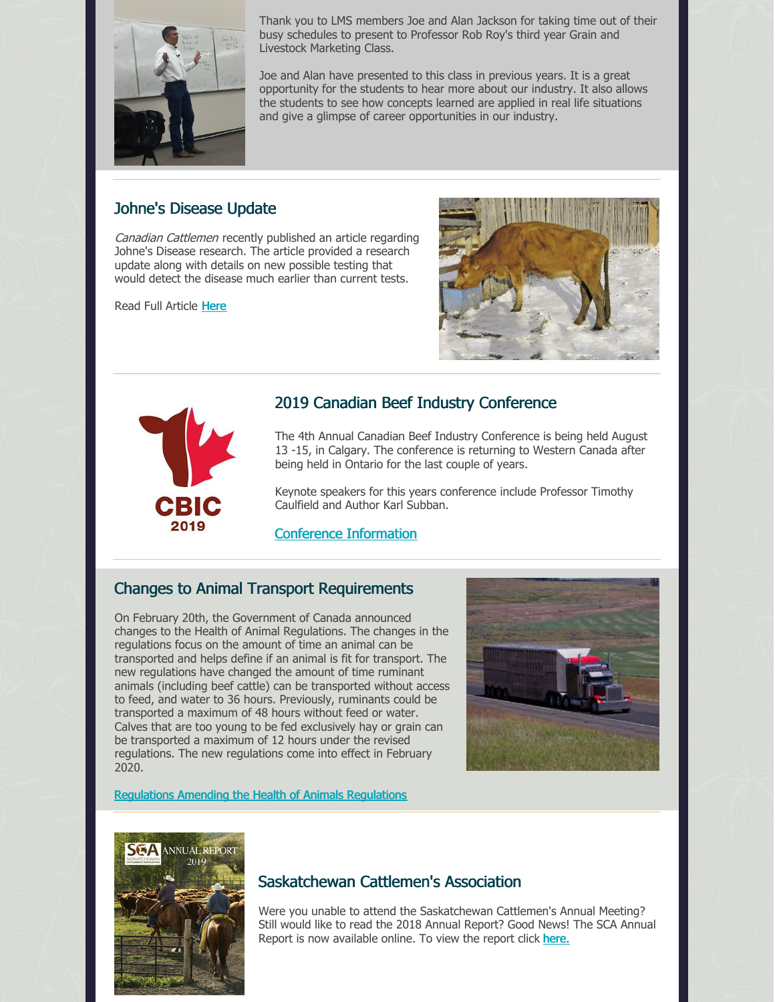

Thank you to LMS members Joe and Alan Jackson for taking time out of their busy schedules to present to Professor Rob Roy's third year Grain and Livestock Marketing Class.

Joe and Alan have presented to this class in previous years. It is a great opportunity for the students to hear more about our industry. It also allows the students to see how concepts learned are applied in real life situations and give a glimpse of career opportunities in our industry.

## Johne's Disease Update

Canadian Cattlemen recently published an article regarding Johne's Disease research. The article provided a research update along with details on new possible testing that would detect the disease much earlier than current tests.

Read Full Article [Here](https://www.canadiancattlemen.ca/2019/03/04/narrowing-in-on-johnes-disease-in-cattle/?module=explore_widget&pgtype=section#_ga=2.256042765.728348271.1551730265-1740084317.1548107445)





# 2019 Canadian Beef Industry Conference

The 4th Annual Canadian Beef Industry Conference is being held August 13 -15, in Calgary. The conference is returning to Western Canada after being held in Ontario for the last couple of years.

Keynote speakers for this years conference include Professor Timothy Caulfield and Author Karl Subban.

Conference [Information](http://canadianbeefindustryconference.com/wordpress/)

## Changes to Animal Transport Requirements

On February 20th, the Government of Canada announced changes to the Health of Animal Regulations. The changes in the regulations focus on the amount of time an animal can be transported and helps define if an animal is fit for transport. The new regulations have changed the amount of time ruminant animals (including beef cattle) can be transported without access to feed, and water to 36 hours. Previously, ruminants could be transported a maximum of 48 hours without feed or water. Calves that are too young to be fed exclusively hay or grain can be transported a maximum of 12 hours under the revised regulations. The new regulations come into effect in February 2020.



### [Regulations](http://www.gazette.gc.ca/rp-pr/p2/2019/2019-02-20/html/sor-dors38-eng.html) Amending the Health of Animals Regulations



## Saskatchewan Cattlemen's Association

Were you unable to attend the Saskatchewan Cattlemen's Annual Meeting? Still would like to read the 2018 Annual Report? Good News! The SCA Annual Report is now available online. To view the report click [here.](http://www.saskbeef.com/uploads/6/1/4/6/61465393/sca_2019_annual_report-_final_.pdf)